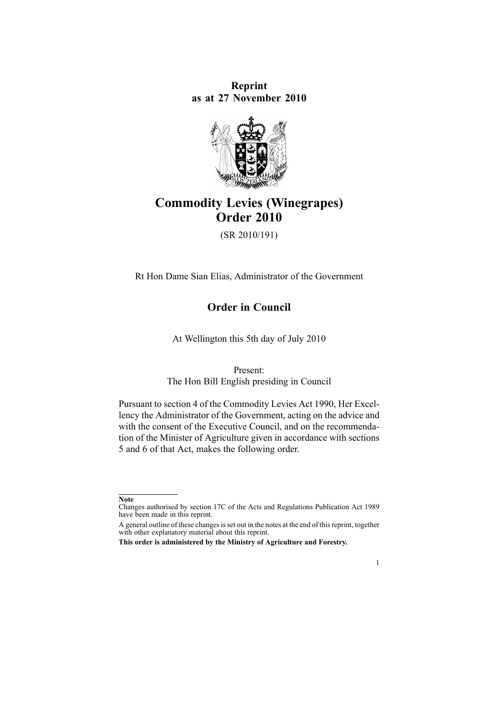**Reprint as at 27 November 2010**



# **Commodity Levies (Winegrapes) Order 2010**

(SR 2010/191)

Rt Hon Dame Sian Elias, Administrator of the Government

**Order in Council**

At Wellington this 5th day of July 2010

Present:

The Hon Bill English presiding in Council

Pursuant to [section](http://www.legislation.govt.nz/pdflink.aspx?id=DLM227326) 4 of the Commodity Levies Act 1990, Her Excellency the Administrator of the Government, acting on the advice and with the consent of the Executive Council, and on the recommendation of the Minister of Agriculture given in accordance with [sections](http://www.legislation.govt.nz/pdflink.aspx?id=DLM227327) [5](http://www.legislation.govt.nz/pdflink.aspx?id=DLM227327) and [6](http://www.legislation.govt.nz/pdflink.aspx?id=DLM227329) of that Act, makes the following order.

1

**Note**

Changes authorised by [section](http://www.legislation.govt.nz/pdflink.aspx?id=DLM195466) 17C of the Acts and Regulations Publication Act 1989 have been made in this reprint.

A general outline of these changes is set out in the notes at the end of this reprint, together with other explanatory material about this reprint.

**This order is administered by the Ministry of Agriculture and Forestry.**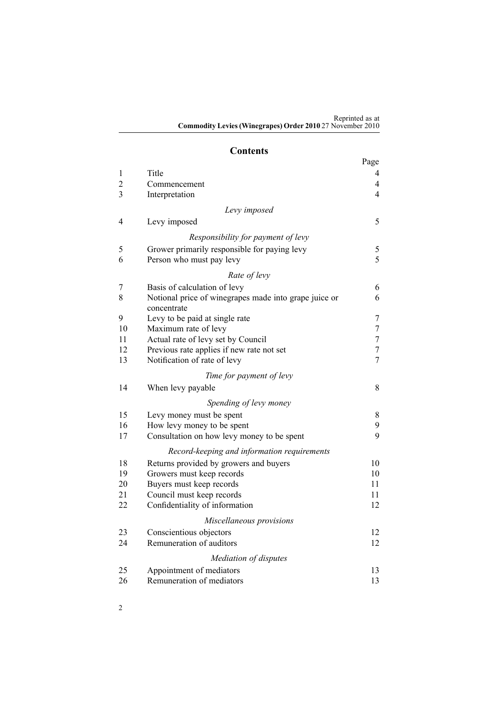#### **Contents**

|                |                                                                      | Page             |
|----------------|----------------------------------------------------------------------|------------------|
| 1              | Title                                                                | 4                |
| $\overline{c}$ | Commencement                                                         | 4                |
| $\overline{3}$ | Interpretation                                                       | $\overline{4}$   |
|                | Levy imposed                                                         |                  |
| 4              | Levy imposed                                                         | 5                |
|                | Responsibility for payment of levy                                   |                  |
| 5              | Grower primarily responsible for paying levy                         | 5                |
| 6              | Person who must pay levy                                             | 5                |
|                | Rate of levy                                                         |                  |
| 7              | Basis of calculation of levy                                         | 6                |
| 8              | Notional price of winegrapes made into grape juice or<br>concentrate | 6                |
| 9              | Levy to be paid at single rate                                       | $\boldsymbol{7}$ |
| 10             | Maximum rate of levy                                                 | $\tau$           |
| 11             | Actual rate of levy set by Council                                   | $\tau$           |
| 12             | Previous rate applies if new rate not set                            | $\tau$           |
| 13             | Notification of rate of levy                                         | $\overline{7}$   |
|                | Time for payment of levy                                             |                  |
| 14             | When levy payable                                                    | 8                |
|                | Spending of levy money                                               |                  |
| 15             | Levy money must be spent                                             | $8\,$            |
| 16             | How levy money to be spent                                           | 9                |
| 17             | Consultation on how levy money to be spent                           | 9                |
|                | Record-keeping and information requirements                          |                  |
| 18             | Returns provided by growers and buyers                               | 10               |
| 19             | Growers must keep records                                            | 10               |
| 20             | Buyers must keep records                                             | 11               |
| 21             | Council must keep records                                            | 11               |
| 22             | Confidentiality of information                                       | 12               |
|                | Miscellaneous provisions                                             |                  |
| 23             | Conscientious objectors                                              | 12               |
| 24             | Remuneration of auditors                                             | 12               |
|                | Mediation of disputes                                                |                  |
| 25             | Appointment of mediators                                             | 13               |
| 26             | Remuneration of mediators                                            | 13               |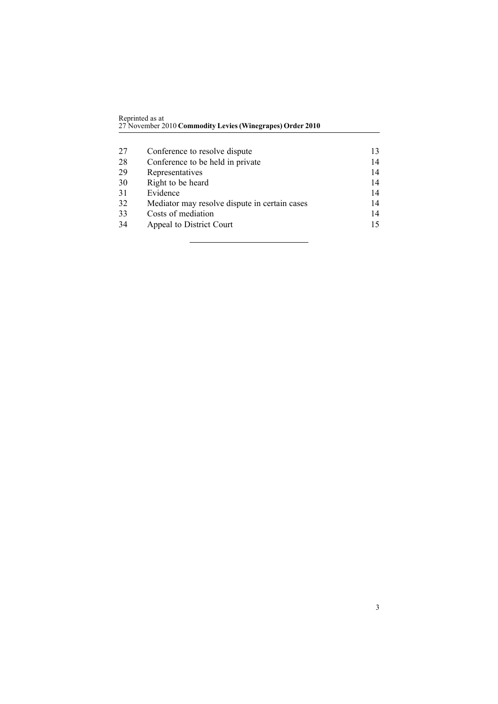| Reprinted as at                                           |
|-----------------------------------------------------------|
| 27 November 2010 Commodity Levies (Winegrapes) Order 2010 |
|                                                           |

| Conference to resolve dispute                 | 13 |
|-----------------------------------------------|----|
| Conference to be held in private              | 14 |
| Representatives                               | 14 |
| Right to be heard                             | 14 |
| Evidence                                      | 14 |
| Mediator may resolve dispute in certain cases | 14 |
| Costs of mediation                            | 14 |
| Appeal to District Court                      | 15 |
|                                               |    |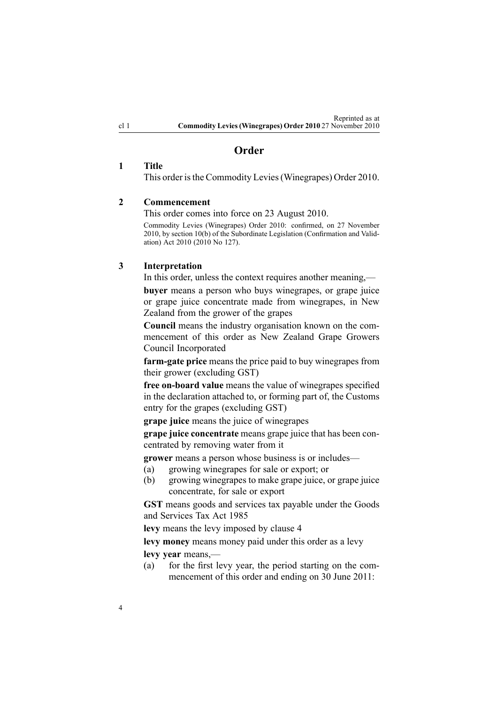# **Order**

## <span id="page-3-0"></span>**1 Title**

This order is the Commodity Levies (Winegrapes) Order 2010.

## **2 Commencement**

This order comes into force on 23 August 2010.

Commodity Levies (Winegrapes) Order 2010: confirmed, on 27 November 2010, by [section](http://www.legislation.govt.nz/pdflink.aspx?id=DLM3251060) 10(b) of the Subordinate Legislation (Confirmation and Validation) Act 2010 (2010 No 127).

## **3 Interpretation**

In this order, unless the context requires another meaning,—

**buyer** means <sup>a</sup> person who buys winegrapes, or grape juice or grape juice concentrate made from winegrapes, in New Zealand from the grower of the grapes

**Council** means the industry organisation known on the commencement of this order as New Zealand Grape Growers Council Incorporated

**farm-gate price** means the price paid to buy winegrapes from their grower (excluding GST)

**free on-board value** means the value of winegrapes specified in the declaration attached to, or forming par<sup>t</sup> of, the Customs entry for the grapes (excluding GST)

**grape juice** means the juice of winegrapes

**grape juice concentrate** means grape juice that has been concentrated by removing water from it

**grower** means <sup>a</sup> person whose business is or includes—

- (a) growing winegrapes for sale or export; or
- (b) growing winegrapes to make grape juice, or grape juice concentrate, for sale or expor<sup>t</sup>

**GST** means goods and services tax payable under the [Goods](http://www.legislation.govt.nz/pdflink.aspx?id=DLM81034) and [Services](http://www.legislation.govt.nz/pdflink.aspx?id=DLM81034) Tax Act 1985

**levy** means the levy imposed by [clause](#page-4-0) 4

**levy money** means money paid under this order as <sup>a</sup> levy **levy year** means,—

(a) for the first levy year, the period starting on the commencement of this order and ending on 30 June 2011: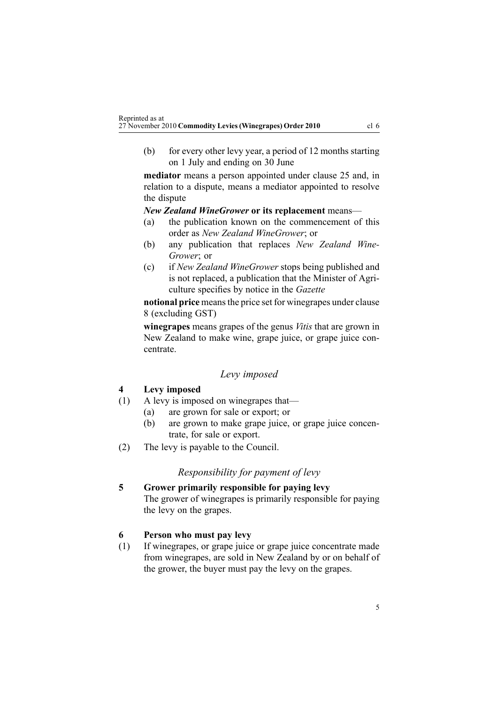<span id="page-4-0"></span>(b) for every other levy year, <sup>a</sup> period of 12 months starting on 1 July and ending on 30 June

**mediator** means <sup>a</sup> person appointed under [clause](#page-12-0) 25 and, in relation to <sup>a</sup> dispute, means <sup>a</sup> mediator appointed to resolve the dispute

#### *New Zealand WineGrower* **or its replacement** means—

- (a) the publication known on the commencement of this order as *New Zealand WineGrower*; or
- (b) any publication that replaces *New Zealand Wine-Grower*; or
- (c) if *New Zealand WineGrower* stops being published and is not replaced, <sup>a</sup> publication that the Minister of Agriculture specifies by notice in the *Gazette*

**notional price** meansthe price set for winegrapes under [clause](#page-5-0) [8](#page-5-0) (excluding GST)

**winegrapes** means grapes of the genus *Vitis* that are grown in New Zealand to make wine, grape juice, or grape juice concentrate.

#### *Levy imposed*

# **4 Levy imposed**

- (1) A levy is imposed on winegrapes that—
	- (a) are grown for sale or export; or
	- (b) are grown to make grape juice, or grape juice concentrate, for sale or export.
- (2) The levy is payable to the Council.

#### *Responsibility for paymen<sup>t</sup> of levy*

**5 Grower primarily responsible for paying levy** The grower of winegrapes is primarily responsible for paying the levy on the grapes.

# **6 Person who must pay levy**

(1) If winegrapes, or grape juice or grape juice concentrate made from winegrapes, are sold in New Zealand by or on behalf of the grower, the buyer must pay the levy on the grapes.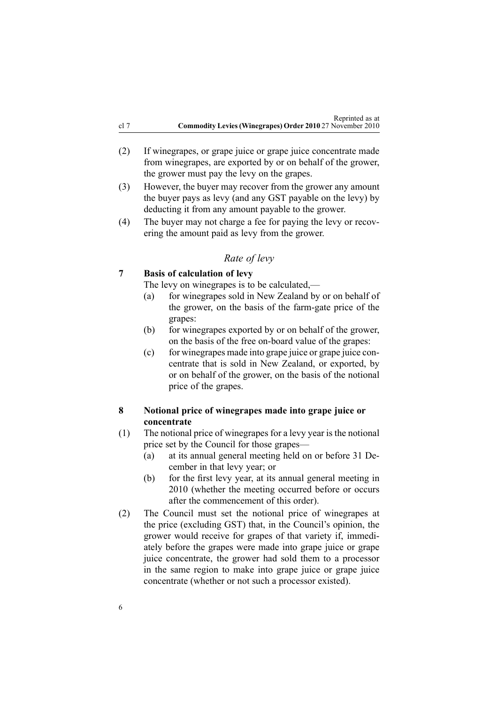- <span id="page-5-0"></span>(2) If winegrapes, or grape juice or grape juice concentrate made from winegrapes, are exported by or on behalf of the grower, the grower must pay the levy on the grapes.
- (3) However, the buyer may recover from the grower any amount the buyer pays as levy (and any GST payable on the levy) by deducting it from any amount payable to the grower.
- (4) The buyer may not charge <sup>a</sup> fee for paying the levy or recovering the amount paid as levy from the grower.

## *Rate of levy*

## **7 Basis of calculation of levy**

The levy on winegrapes is to be calculated,—

- (a) for winegrapes sold in New Zealand by or on behalf of the grower, on the basis of the farm-gate price of the grapes:
- (b) for winegrapes exported by or on behalf of the grower, on the basis of the free on-board value of the grapes:
- (c) for winegrapes made into grape juice or grape juice concentrate that is sold in New Zealand, or exported, by or on behalf of the grower, on the basis of the notional price of the grapes.

# **8 Notional price of winegrapes made into grape juice or concentrate**

- (1) The notional price of winegrapes for <sup>a</sup> levy year is the notional price set by the Council for those grapes—
	- (a) at its annual general meeting held on or before 31 December in that levy year; or
	- (b) for the first levy year, at its annual general meeting in 2010 (whether the meeting occurred before or occurs after the commencement of this order).
- (2) The Council must set the notional price of winegrapes at the price (excluding GST) that, in the Council's opinion, the grower would receive for grapes of that variety if, immediately before the grapes were made into grape juice or grape juice concentrate, the grower had sold them to <sup>a</sup> processor in the same region to make into grape juice or grape juice concentrate (whether or not such <sup>a</sup> processor existed).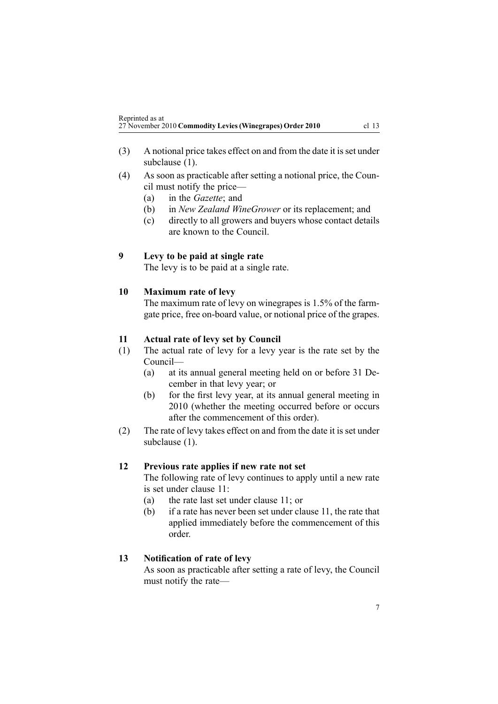- <span id="page-6-0"></span>(3) A notional price takes effect on and from the date it isset under subclause (1).
- (4) As soon as practicable after setting <sup>a</sup> notional price, the Council must notify the price—
	- (a) in the *Gazette*; and
	- (b) in *New Zealand WineGrower* or its replacement; and
	- (c) directly to all growers and buyers whose contact details are known to the Council.

## **9 Levy to be paid at single rate**

The levy is to be paid at <sup>a</sup> single rate.

## **10 Maximum rate of levy**

The maximum rate of levy on winegrapes is 1.5% of the farmgate price, free on-board value, or notional price of the grapes.

## **11 Actual rate of levy set by Council**

- (1) The actual rate of levy for <sup>a</sup> levy year is the rate set by the Council—
	- (a) at its annual general meeting held on or before 31 December in that levy year; or
	- (b) for the first levy year, at its annual general meeting in 2010 (whether the meeting occurred before or occurs after the commencement of this order).
- (2) The rate of levy takes effect on and from the date it is set under subclause  $(1)$ .

#### **12 Previous rate applies if new rate not set**

The following rate of levy continues to apply until <sup>a</sup> new rate is set under clause 11:

- (a) the rate last set under clause 11; or
- (b) if <sup>a</sup> rate has never been set under clause 11, the rate that applied immediately before the commencement of this order.

#### **13 Notification of rate of levy**

As soon as practicable after setting <sup>a</sup> rate of levy, the Council must notify the rate—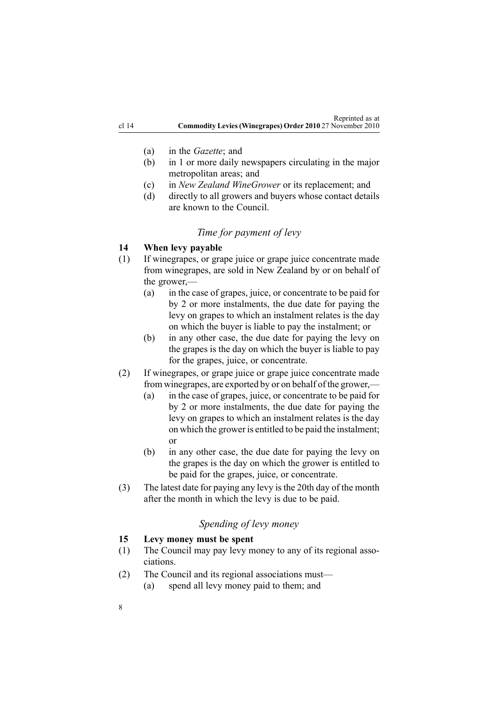- <span id="page-7-0"></span>(a) in the *Gazette*; and
- (b) in 1 or more daily newspapers circulating in the major metropolitan areas; and
- (c) in *New Zealand WineGrower* or its replacement; and
- (d) directly to all growers and buyers whose contact details are known to the Council.

# *Time for paymen<sup>t</sup> of levy*

# **14 When levy payable**

- (1) If winegrapes, or grape juice or grape juice concentrate made from winegrapes, are sold in New Zealand by or on behalf of the grower,—
	- (a) in the case of grapes, juice, or concentrate to be paid for by 2 or more instalments, the due date for paying the levy on grapes to which an instalment relates is the day on which the buyer is liable to pay the instalment; or
	- (b) in any other case, the due date for paying the levy on the grapes is the day on which the buyer is liable to pay for the grapes, juice, or concentrate.
- (2) If winegrapes, or grape juice or grape juice concentrate made from winegrapes, are exported by or on behalf of the grower,—
	- (a) in the case of grapes, juice, or concentrate to be paid for by 2 or more instalments, the due date for paying the levy on grapes to which an instalment relates is the day on which the grower is entitled to be paid the instalment; or
	- (b) in any other case, the due date for paying the levy on the grapes is the day on which the grower is entitled to be paid for the grapes, juice, or concentrate.
- (3) The latest date for paying any levy isthe 20th day of the month after the month in which the levy is due to be paid.

# *Spending of levy money*

# **15 Levy money must be spent**

- (1) The Council may pay levy money to any of its regional associations.
- (2) The Council and its regional associations must—
	- (a) spend all levy money paid to them; and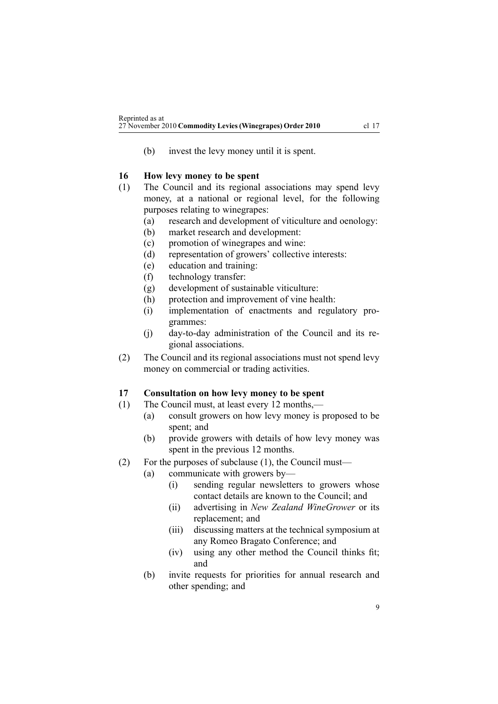<span id="page-8-0"></span>(b) invest the levy money until it is spent.

# **16 How levy money to be spent**

- (1) The Council and its regional associations may spend levy money, at <sup>a</sup> national or regional level, for the following purposes relating to winegrapes:
	- (a) research and development of viticulture and oenology:
	- (b) market research and development:
	- (c) promotion of winegrapes and wine:
	- (d) representation of growers' collective interests:
	- (e) education and training:
	- (f) technology transfer:
	- (g) development of sustainable viticulture:
	- (h) protection and improvement of vine health:
	- (i) implementation of enactments and regulatory programmes:
	- (j) day-to-day administration of the Council and its regional associations.
- (2) The Council and its regional associations must not spend levy money on commercial or trading activities.

# **17 Consultation on how levy money to be spent**

- (1) The Council must, at least every 12 months,—
	- (a) consult growers on how levy money is proposed to be spent; and
	- (b) provide growers with details of how levy money was spen<sup>t</sup> in the previous 12 months.
- (2) For the purposes of subclause (1), the Council must—
	- (a) communicate with growers by—
		- (i) sending regular newsletters to growers whose contact details are known to the Council; and
		- (ii) advertising in *New Zealand WineGrower* or its replacement; and
		- (iii) discussing matters at the technical symposium at any Romeo Bragato Conference; and
		- (iv) using any other method the Council thinks fit; and
	- (b) invite requests for priorities for annual research and other spending; and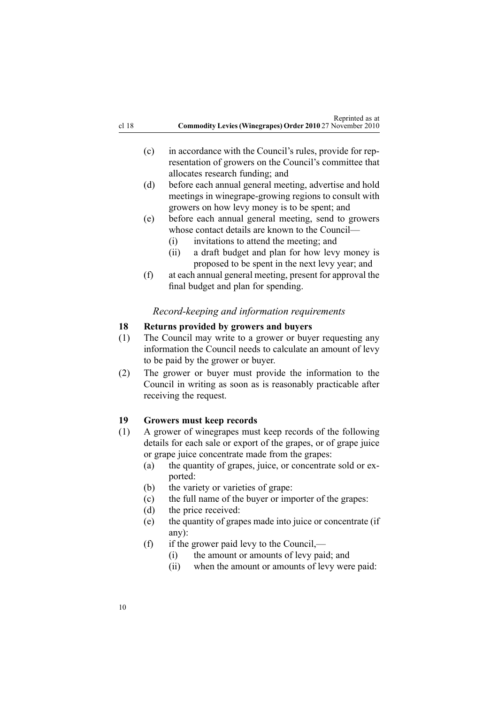- <span id="page-9-0"></span>(c) in accordance with the Council's rules, provide for representation of growers on the Council's committee that allocates research funding; and
- (d) before each annual general meeting, advertise and hold meetings in winegrape-growing regions to consult with growers on how levy money is to be spent; and
- (e) before each annual general meeting, send to growers whose contact details are known to the Council—
	- (i) invitations to attend the meeting; and
	- (ii) <sup>a</sup> draft budget and plan for how levy money is proposed to be spen<sup>t</sup> in the next levy year; and
- (f) at each annual general meeting, presen<sup>t</sup> for approval the final budget and plan for spending.

#### *Record-keeping and information requirements*

## **18 Returns provided by growers and buyers**

- (1) The Council may write to <sup>a</sup> grower or buyer requesting any information the Council needs to calculate an amount of levy to be paid by the grower or buyer.
- (2) The grower or buyer must provide the information to the Council in writing as soon as is reasonably practicable after receiving the request.

#### **19 Growers must keep records**

- (1) A grower of winegrapes must keep records of the following details for each sale or expor<sup>t</sup> of the grapes, or of grape juice or grape juice concentrate made from the grapes:
	- (a) the quantity of grapes, juice, or concentrate sold or exported:
	- (b) the variety or varieties of grape:
	- (c) the full name of the buyer or importer of the grapes:
	- (d) the price received:
	- (e) the quantity of grapes made into juice or concentrate (if any):
	- (f) if the grower paid levy to the Council,—
		- (i) the amount or amounts of levy paid; and
		- (ii) when the amount or amounts of levy were paid:

10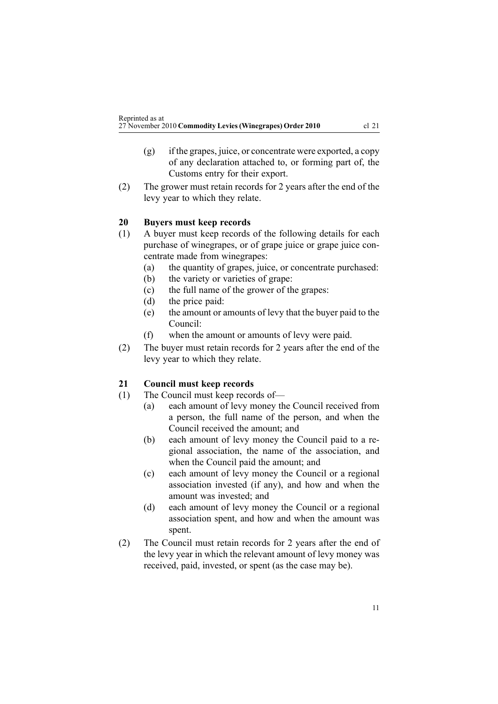- <span id="page-10-0"></span>(g) if the grapes, juice, or concentrate were exported, <sup>a</sup> copy of any declaration attached to, or forming par<sup>t</sup> of, the Customs entry for their export.
- (2) The grower must retain records for 2 years after the end of the levy year to which they relate.

# **20 Buyers must keep records**

- (1) A buyer must keep records of the following details for each purchase of winegrapes, or of grape juice or grape juice concentrate made from winegrapes:
	- (a) the quantity of grapes, juice, or concentrate purchased:
	- (b) the variety or varieties of grape:
	- (c) the full name of the grower of the grapes:
	- (d) the price paid:
	- (e) the amount or amounts of levy that the buyer paid to the Council:
	- (f) when the amount or amounts of levy were paid.
- (2) The buyer must retain records for 2 years after the end of the levy year to which they relate.

# **21 Council must keep records**

- (1) The Council must keep records of—
	- (a) each amount of levy money the Council received from <sup>a</sup> person, the full name of the person, and when the Council received the amount; and
	- (b) each amount of levy money the Council paid to <sup>a</sup> regional association, the name of the association, and when the Council paid the amount; and
	- (c) each amount of levy money the Council or <sup>a</sup> regional association invested (if any), and how and when the amount was invested; and
	- (d) each amount of levy money the Council or <sup>a</sup> regional association spent, and how and when the amount was spent.
- (2) The Council must retain records for 2 years after the end of the levy year in which the relevant amount of levy money was received, paid, invested, or spen<sup>t</sup> (as the case may be).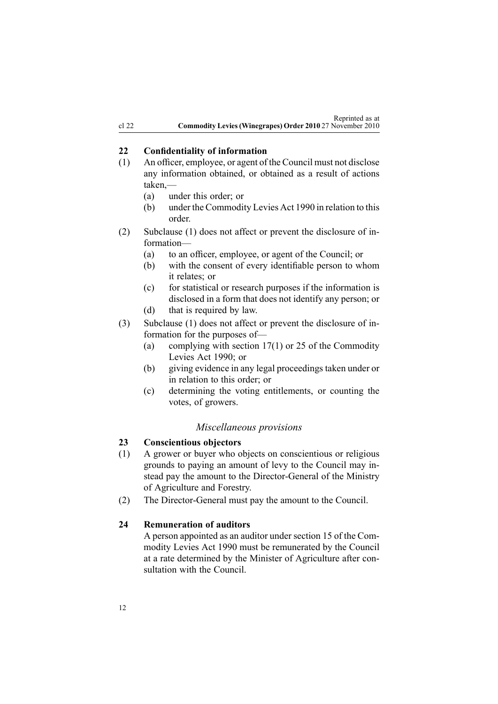# <span id="page-11-0"></span>**22 Confidentiality of information**

- (1) An officer, employee, or agen<sup>t</sup> of the Council must not disclose any information obtained, or obtained as <sup>a</sup> result of actions taken,—
	- (a) under this order; or
	- (b) under the [Commodity](http://www.legislation.govt.nz/pdflink.aspx?id=DLM226673) Levies Act 1990 in relation to this order.
- (2) Subclause (1) does not affect or preven<sup>t</sup> the disclosure of information—
	- (a) to an officer, employee, or agen<sup>t</sup> of the Council; or
	- (b) with the consent of every identifiable person to whom it relates; or
	- (c) for statistical or research purposes if the information is disclosed in <sup>a</sup> form that does not identify any person; or
	- (d) that is required by law.
- (3) Subclause (1) does not affect or preven<sup>t</sup> the disclosure of information for the purposes of—
	- (a) complying with [section](http://www.legislation.govt.nz/pdflink.aspx?id=DLM227345) 17(1) or [25](http://www.legislation.govt.nz/pdflink.aspx?id=DLM227355) of the Commodity Levies Act 1990; or
	- (b) giving evidence in any legal proceedings taken under or in relation to this order; or
	- (c) determining the voting entitlements, or counting the votes, of growers.

#### *Miscellaneous provisions*

#### **23 Conscientious objectors**

- (1) A grower or buyer who objects on conscientious or religious grounds to paying an amount of levy to the Council may instead pay the amount to the Director-General of the Ministry of Agriculture and Forestry.
- (2) The Director-General must pay the amount to the Council.

# **24 Remuneration of auditors**

A person appointed as an auditor under [section](http://www.legislation.govt.nz/pdflink.aspx?id=DLM227341) 15 of the Commodity Levies Act 1990 must be remunerated by the Council at <sup>a</sup> rate determined by the Minister of Agriculture after consultation with the Council.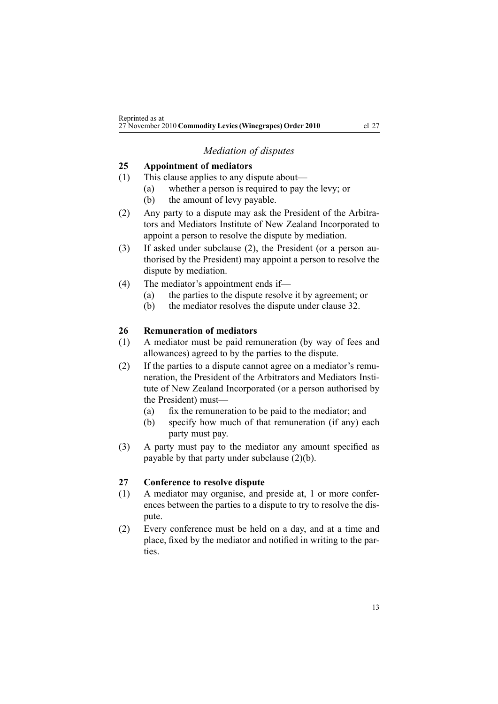# *Mediation of disputes*

# <span id="page-12-0"></span>**25 Appointment of mediators**

- (1) This clause applies to any dispute about—
	- (a) whether <sup>a</sup> person is required to pay the levy; or
	- (b) the amount of levy payable.
- (2) Any party to <sup>a</sup> dispute may ask the President of the Arbitrators and Mediators Institute of New Zealand Incorporated to appoint <sup>a</sup> person to resolve the dispute by mediation.
- (3) If asked under subclause (2), the President (or <sup>a</sup> person authorised by the President) may appoint <sup>a</sup> person to resolve the dispute by mediation.
- (4) The mediator's appointment ends if—
	- (a) the parties to the dispute resolve it by agreement; or
	- (b) the mediator resolves the dispute under [clause](#page-13-0) 32.

#### **26 Remuneration of mediators**

- (1) A mediator must be paid remuneration (by way of fees and allowances) agreed to by the parties to the dispute.
- (2) If the parties to <sup>a</sup> dispute cannot agree on <sup>a</sup> mediator's remuneration, the President of the Arbitrators and Mediators Institute of New Zealand Incorporated (or <sup>a</sup> person authorised by the President) must—
	- (a) fix the remuneration to be paid to the mediator; and
	- (b) specify how much of that remuneration (if any) each party must pay.
- (3) A party must pay to the mediator any amount specified as payable by that party under subclause (2)(b).

#### **27 Conference to resolve dispute**

- (1) A mediator may organise, and preside at, 1 or more conferences between the parties to <sup>a</sup> dispute to try to resolve the dispute.
- (2) Every conference must be held on <sup>a</sup> day, and at <sup>a</sup> time and place, fixed by the mediator and notified in writing to the parties.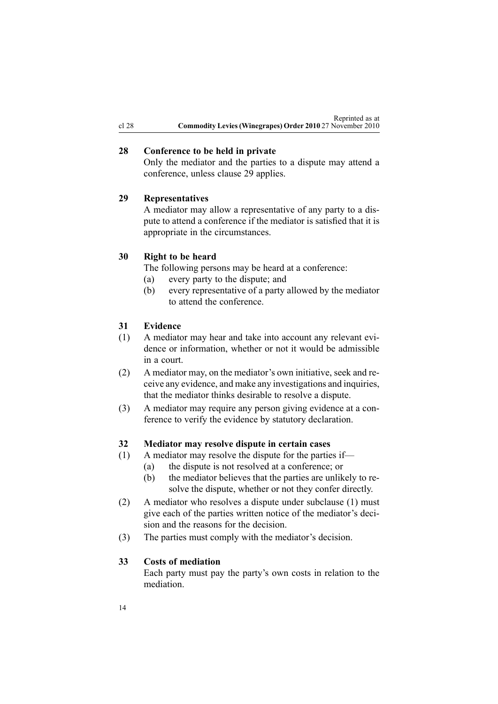# <span id="page-13-0"></span>**28 Conference to be held in private**

Only the mediator and the parties to <sup>a</sup> dispute may attend <sup>a</sup> conference, unless clause 29 applies.

# **29 Representatives**

A mediator may allow <sup>a</sup> representative of any party to <sup>a</sup> dispute to attend <sup>a</sup> conference if the mediator is satisfied that it is appropriate in the circumstances.

# **30 Right to be heard**

The following persons may be heard at <sup>a</sup> conference:

- (a) every party to the dispute; and
- (b) every representative of <sup>a</sup> party allowed by the mediator to attend the conference.

## **31 Evidence**

- (1) A mediator may hear and take into account any relevant evidence or information, whether or not it would be admissible in <sup>a</sup> court.
- (2) A mediator may, on the mediator's own initiative, seek and receive any evidence, and make any investigations and inquiries, that the mediator thinks desirable to resolve <sup>a</sup> dispute.
- (3) A mediator may require any person giving evidence at <sup>a</sup> conference to verify the evidence by statutory declaration.

#### **32 Mediator may resolve dispute in certain cases**

- (1) A mediator may resolve the dispute for the parties if—
	- (a) the dispute is not resolved at <sup>a</sup> conference; or
	- (b) the mediator believes that the parties are unlikely to resolve the dispute, whether or not they confer directly.
- (2) A mediator who resolves <sup>a</sup> dispute under subclause (1) must give each of the parties written notice of the mediator's decision and the reasons for the decision.
- (3) The parties must comply with the mediator's decision.

#### **33 Costs of mediation**

Each party must pay the party's own costs in relation to the mediation.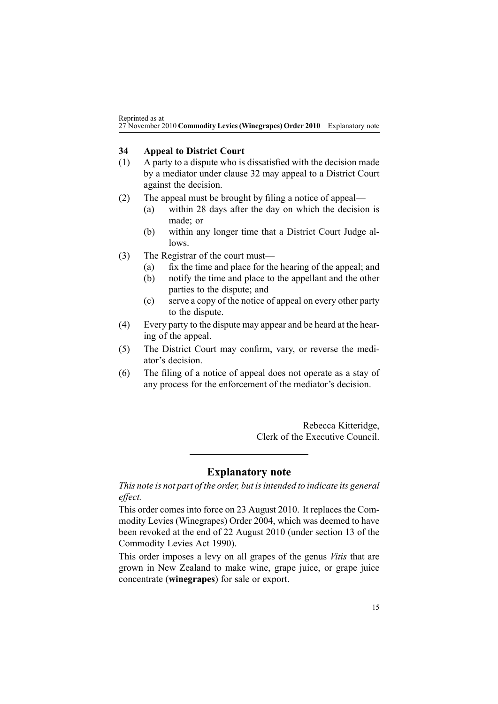<span id="page-14-0"></span>Reprinted as at 27 November 2010 **Commodity Levies(Winegrapes) Order 2010** Explanatory note

# **34 Appeal to District Court**

- (1) A party to <sup>a</sup> dispute who is dissatisfied with the decision made by <sup>a</sup> mediator under [clause](#page-13-0) 32 may appeal to <sup>a</sup> District Court against the decision.
- (2) The appeal must be brought by filing <sup>a</sup> notice of appeal—
	- (a) within 28 days after the day on which the decision is made; or
	- (b) within any longer time that <sup>a</sup> District Court Judge allows.
- (3) The Registrar of the court must—
	- (a) fix the time and place for the hearing of the appeal; and
	- (b) notify the time and place to the appellant and the other parties to the dispute; and
	- (c) serve <sup>a</sup> copy of the notice of appeal on every other party to the dispute.
- (4) Every party to the dispute may appear and be heard at the hearing of the appeal.
- (5) The District Court may confirm, vary, or reverse the mediator's decision.
- (6) The filing of <sup>a</sup> notice of appeal does not operate as <sup>a</sup> stay of any process for the enforcement of the mediator's decision.

Rebecca Kitteridge, Clerk of the Executive Council.

# **Explanatory note**

*This note is not par<sup>t</sup> of the order, but isintended to indicate its general effect.*

This order comes into force on 23 August 2010. It replaces the [Com](http://www.legislation.govt.nz/pdflink.aspx?id=DLM278967)modity Levies [\(Winegrapes\)](http://www.legislation.govt.nz/pdflink.aspx?id=DLM278967) Order 2004, which was deemed to have been revoked at the end of 22 August 2010 (under [section](http://www.legislation.govt.nz/pdflink.aspx?id=DLM227338) 13 of the Commodity Levies Act 1990).

This order imposes <sup>a</sup> levy on all grapes of the genus *Vitis* that are grown in New Zealand to make wine, grape juice, or grape juice concentrate (**winegrapes**) for sale or export.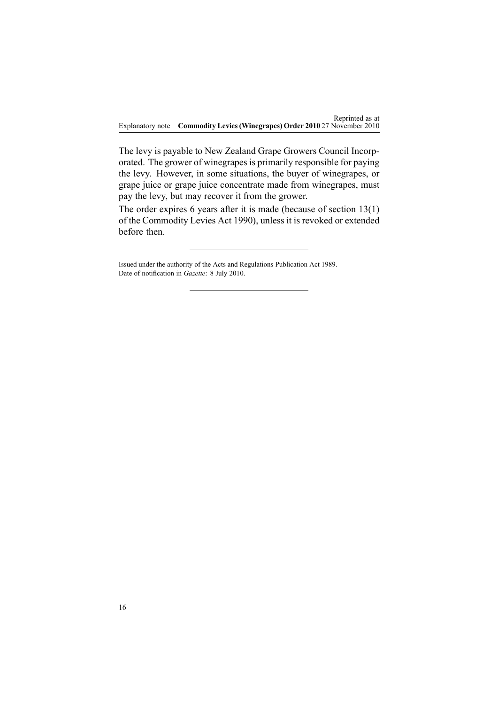Explanatory note **Commodity Levies(Winegrapes) Order 2010** 27 November 2010 Reprinted as at

The levy is payable to New Zealand Grape Growers Council Incorporated. The grower of winegrapesis primarily responsible for paying the levy. However, in some situations, the buyer of winegrapes, or grape juice or grape juice concentrate made from winegrapes, must pay the levy, but may recover it from the grower.

The order expires 6 years after it is made (because of [section](http://www.legislation.govt.nz/pdflink.aspx?id=DLM227338) 13(1) of the Commodity Levies Act 1990), unless it is revoked or extended before then.

Issued under the authority of the Acts and [Regulations](http://www.legislation.govt.nz/pdflink.aspx?id=DLM195097) Publication Act 1989. Date of notification in *Gazette*: 8 July 2010.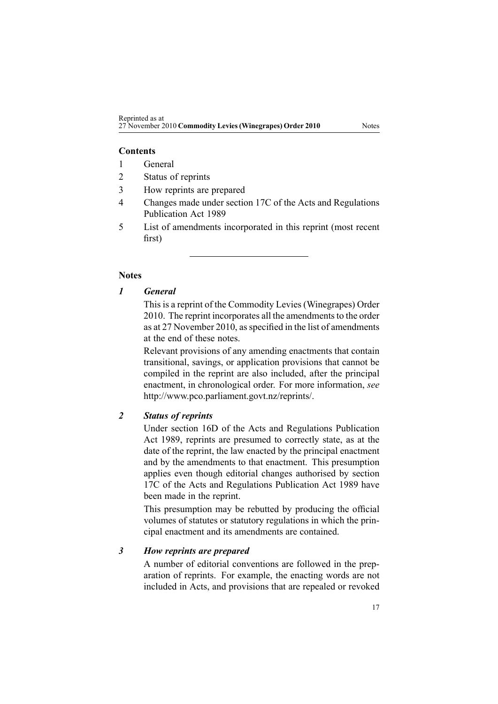#### **Contents**

- 1 General
- 2 Status of reprints
- 3 How reprints are prepared
- 4 Changes made under section 17C of the Acts and Regulations Publication Act 1989
- 5 List of amendments incorporated in this reprint (most recent first)

#### **Notes**

## *1 General*

This is <sup>a</sup> reprint of the Commodity Levies (Winegrapes) Order 2010. The reprint incorporates all the amendments to the order as at 27 November 2010, as specified in the list of amendments at the end of these notes.

Relevant provisions of any amending enactments that contain transitional, savings, or application provisions that cannot be compiled in the reprint are also included, after the principal enactment, in chronological order. For more information, *see* <http://www.pco.parliament.govt.nz/reprints/>.

## *2 Status of reprints*

Under [section](http://www.legislation.govt.nz/pdflink.aspx?id=DLM195439) 16D of the Acts and Regulations Publication Act 1989, reprints are presumed to correctly state, as at the date of the reprint, the law enacted by the principal enactment and by the amendments to that enactment. This presumption applies even though editorial changes authorised by [section](http://www.legislation.govt.nz/pdflink.aspx?id=DLM195466) [17C](http://www.legislation.govt.nz/pdflink.aspx?id=DLM195466) of the Acts and Regulations Publication Act 1989 have been made in the reprint.

This presumption may be rebutted by producing the official volumes of statutes or statutory regulations in which the principal enactment and its amendments are contained.

#### *3 How reprints are prepared*

A number of editorial conventions are followed in the preparation of reprints. For example, the enacting words are not included in Acts, and provisions that are repealed or revoked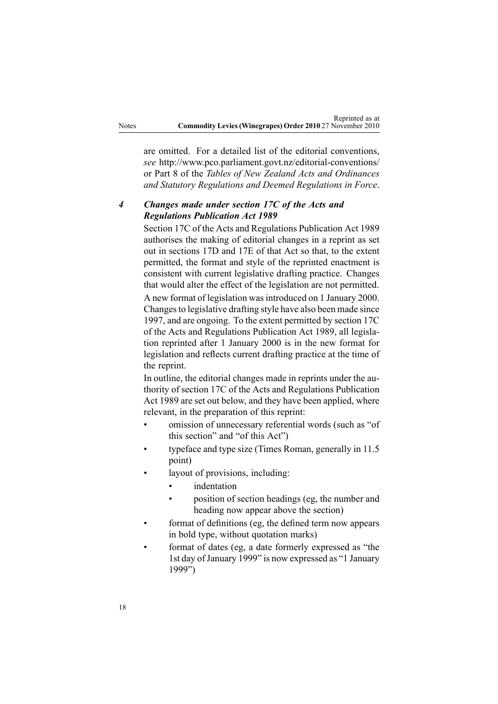are omitted. For <sup>a</sup> detailed list of the editorial conventions, *see* [http://www.pco.parliament.govt.nz/editorial-conventions/](http://www.pco.parliament.govt.nz/editorial-conventions/ ) or Part 8 of the *Tables of New Zealand Acts and Ordinances and Statutory Regulations and Deemed Regulations in Force*.

# *4 Changes made under section 17C of the Acts and Regulations Publication Act 1989*

[Section](http://www.legislation.govt.nz/pdflink.aspx?id=DLM195466) 17C of the Acts and Regulations Publication Act 1989 authorises the making of editorial changes in <sup>a</sup> reprint as set out in [sections](http://www.legislation.govt.nz/pdflink.aspx?id=DLM195468) 17D and [17E](http://www.legislation.govt.nz/pdflink.aspx?id=DLM195470) of that Act so that, to the extent permitted, the format and style of the reprinted enactment is consistent with current legislative drafting practice. Changes that would alter the effect of the legislation are not permitted.

A new format of legislation wasintroduced on 1 January 2000. Changesto legislative drafting style have also been made since 1997, and are ongoing. To the extent permitted by [section](http://www.legislation.govt.nz/pdflink.aspx?id=DLM195466) 17C of the Acts and Regulations Publication Act 1989, all legislation reprinted after 1 January 2000 is in the new format for legislation and reflects current drafting practice at the time of the reprint.

In outline, the editorial changes made in reprints under the authority of [section](http://www.legislation.govt.nz/pdflink.aspx?id=DLM195466) 17C of the Acts and Regulations Publication Act 1989 are set out below, and they have been applied, where relevant, in the preparation of this reprint:

- • omission of unnecessary referential words (such as "of this section" and "of this Act")
- • typeface and type size (Times Roman, generally in 11.5 point)
- • layout of provisions, including:
	- •indentation
	- • position of section headings (eg, the number and heading now appear above the section)
- • format of definitions (eg, the defined term now appears in bold type, without quotation marks)
- • format of dates (eg, <sup>a</sup> date formerly expressed as "the 1st day ofJanuary 1999" is now expressed as "1 January 1999")